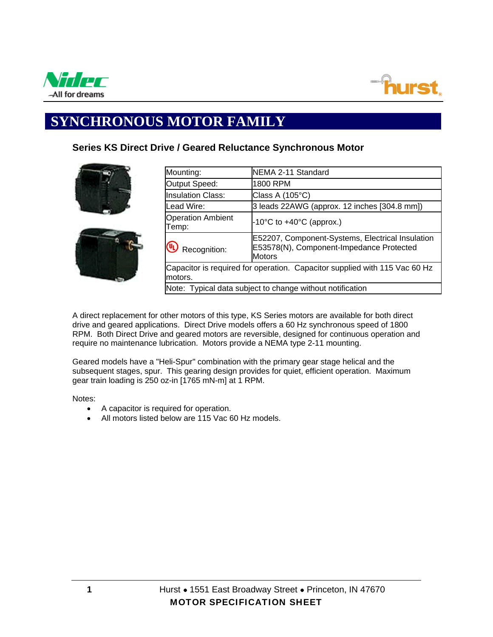



## **SYNCHRONOUS MOTOR FAMILY**

## **Series KS Direct Drive / Geared Reluctance Synchronous Motor**



| Mounting:                                                                             | NEMA 2-11 Standard                                                                                            |  |  |  |  |  |  |
|---------------------------------------------------------------------------------------|---------------------------------------------------------------------------------------------------------------|--|--|--|--|--|--|
| Output Speed:                                                                         | 1800 RPM                                                                                                      |  |  |  |  |  |  |
| <b>Insulation Class:</b>                                                              | Class A (105°C)                                                                                               |  |  |  |  |  |  |
| Lead Wire:                                                                            | 3 leads 22AWG (approx. 12 inches [304.8 mm])                                                                  |  |  |  |  |  |  |
| <b>Operation Ambient</b><br>Temp:                                                     | $-10^{\circ}$ C to $+40^{\circ}$ C (approx.)                                                                  |  |  |  |  |  |  |
| Recognition:                                                                          | E52207, Component-Systems, Electrical Insulation<br>E53578(N), Component-Impedance Protected<br><b>Motors</b> |  |  |  |  |  |  |
| Capacitor is required for operation. Capacitor supplied with 115 Vac 60 Hz<br>motors. |                                                                                                               |  |  |  |  |  |  |
| Note: Typical data subject to change without notification                             |                                                                                                               |  |  |  |  |  |  |

A direct replacement for other motors of this type, KS Series motors are available for both direct drive and geared applications. Direct Drive models offers a 60 Hz synchronous speed of 1800 RPM. Both Direct Drive and geared motors are reversible, designed for continuous operation and require no maintenance lubrication. Motors provide a NEMA type 2-11 mounting.

Geared models have a "Heli-Spur" combination with the primary gear stage helical and the subsequent stages, spur. This gearing design provides for quiet, efficient operation. Maximum gear train loading is 250 oz-in [1765 mN-m] at 1 RPM.

Notes:

- A capacitor is required for operation.
- All motors listed below are 115 Vac 60 Hz models.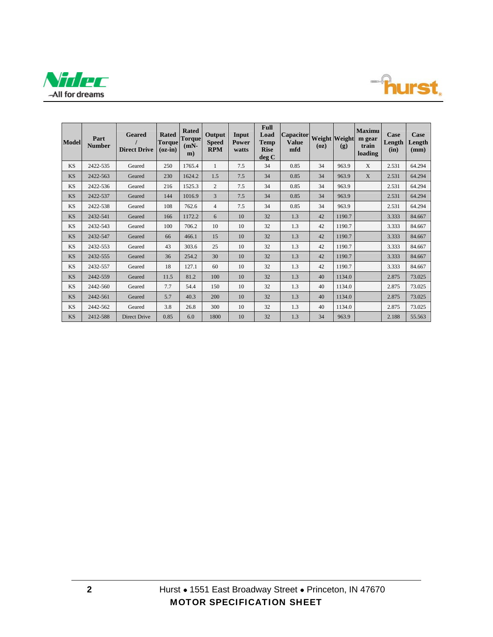



| <b>Model</b> | Part<br><b>Number</b> | Geared<br><b>Direct Drive</b> | <b>Rated</b><br><b>Torque</b><br>$(oz-in)$ | <b>Rated</b><br><b>Torque</b><br>$(mN-$<br>m) | Output<br><b>Speed</b><br><b>RPM</b> | Input<br><b>Power</b><br>watts | Full<br>Load<br><b>Temp</b><br><b>Rise</b><br>deg C | <b>Capacitor</b><br><b>Value</b><br>mfd | <b>Weight</b> Weight<br>(oz) | (g)    | <b>Maximu</b><br>m gear<br>train<br>loading | Case<br>Length<br>(in) | Case<br>Length<br>(mm) |
|--------------|-----------------------|-------------------------------|--------------------------------------------|-----------------------------------------------|--------------------------------------|--------------------------------|-----------------------------------------------------|-----------------------------------------|------------------------------|--------|---------------------------------------------|------------------------|------------------------|
| <b>KS</b>    | 2422-535              | Geared                        | 250                                        | 1765.4                                        |                                      | 7.5                            | 34                                                  | 0.85                                    | 34                           | 963.9  | X                                           | 2.531                  | 64.294                 |
| <b>KS</b>    | 2422-563              | Geared                        | 230                                        | 1624.2                                        | 1.5                                  | 7.5                            | 34                                                  | 0.85                                    | 34                           | 963.9  | X                                           | 2.531                  | 64.294                 |
| <b>KS</b>    | 2422-536              | Geared                        | 216                                        | 1525.3                                        | $\overline{2}$                       | 7.5                            | 34                                                  | 0.85                                    | 34                           | 963.9  |                                             | 2.531                  | 64.294                 |
| <b>KS</b>    | 2422-537              | Geared                        | 144                                        | 1016.9                                        | 3                                    | 7.5                            | 34                                                  | 0.85                                    | 34                           | 963.9  |                                             | 2.531                  | 64.294                 |
| <b>KS</b>    | 2422-538              | Geared                        | 108                                        | 762.6                                         | $\overline{4}$                       | 7.5                            | 34                                                  | 0.85                                    | 34                           | 963.9  |                                             | 2.531                  | 64.294                 |
| <b>KS</b>    | 2432-541              | Geared                        | 166                                        | 1172.2                                        | 6                                    | 10                             | 32                                                  | 1.3                                     | 42                           | 1190.7 |                                             | 3.333                  | 84.667                 |
| <b>KS</b>    | 2432-543              | Geared                        | 100                                        | 706.2                                         | 10                                   | 10                             | 32                                                  | 1.3                                     | 42                           | 1190.7 |                                             | 3.333                  | 84.667                 |
| <b>KS</b>    | 2432-547              | Geared                        | 66                                         | 466.1                                         | 15                                   | 10                             | 32                                                  | 1.3                                     | 42                           | 1190.7 |                                             | 3.333                  | 84.667                 |
| <b>KS</b>    | 2432-553              | Geared                        | 43                                         | 303.6                                         | 25                                   | 10                             | 32                                                  | 1.3                                     | 42                           | 1190.7 |                                             | 3.333                  | 84.667                 |
| <b>KS</b>    | 2432-555              | Geared                        | 36                                         | 254.2                                         | 30                                   | 10                             | 32                                                  | 1.3                                     | 42                           | 1190.7 |                                             | 3.333                  | 84.667                 |
| <b>KS</b>    | 2432-557              | Geared                        | 18                                         | 127.1                                         | 60                                   | 10                             | 32                                                  | 1.3                                     | 42                           | 1190.7 |                                             | 3.333                  | 84.667                 |
| <b>KS</b>    | 2442-559              | Geared                        | 11.5                                       | 81.2                                          | 100                                  | 10                             | 32                                                  | 1.3                                     | 40                           | 1134.0 |                                             | 2.875                  | 73.025                 |
| <b>KS</b>    | 2442-560              | Geared                        | 7.7                                        | 54.4                                          | 150                                  | 10                             | 32                                                  | 1.3                                     | 40                           | 1134.0 |                                             | 2.875                  | 73.025                 |
| <b>KS</b>    | 2442-561              | Geared                        | 5.7                                        | 40.3                                          | 200                                  | 10                             | 32                                                  | 1.3                                     | 40                           | 1134.0 |                                             | 2.875                  | 73.025                 |
| <b>KS</b>    | 2442-562              | Geared                        | 3.8                                        | 26.8                                          | 300                                  | 10                             | 32                                                  | 1.3                                     | 40                           | 1134.0 |                                             | 2.875                  | 73.025                 |
| <b>KS</b>    | 2412-588              | Direct Drive                  | 0.85                                       | 6.0                                           | 1800                                 | 10                             | 32                                                  | 1.3                                     | 34                           | 963.9  |                                             | 2.188                  | 55.563                 |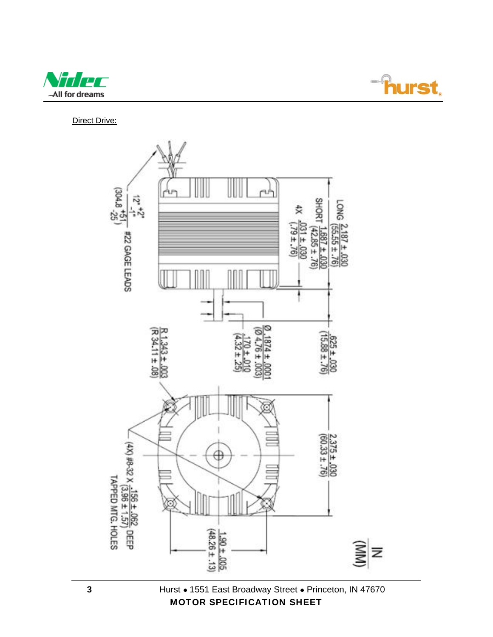



Direct Drive:

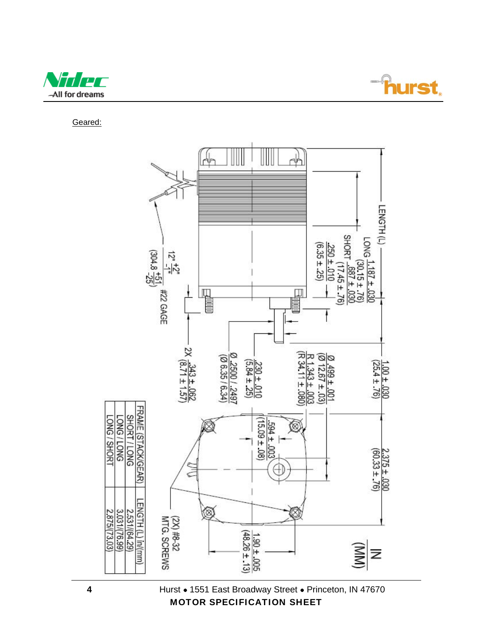



Geared:



4 Hurst • 1551 East Broadway Street • Princeton, IN 47670 MOTOR SPECIFICATION SHEET